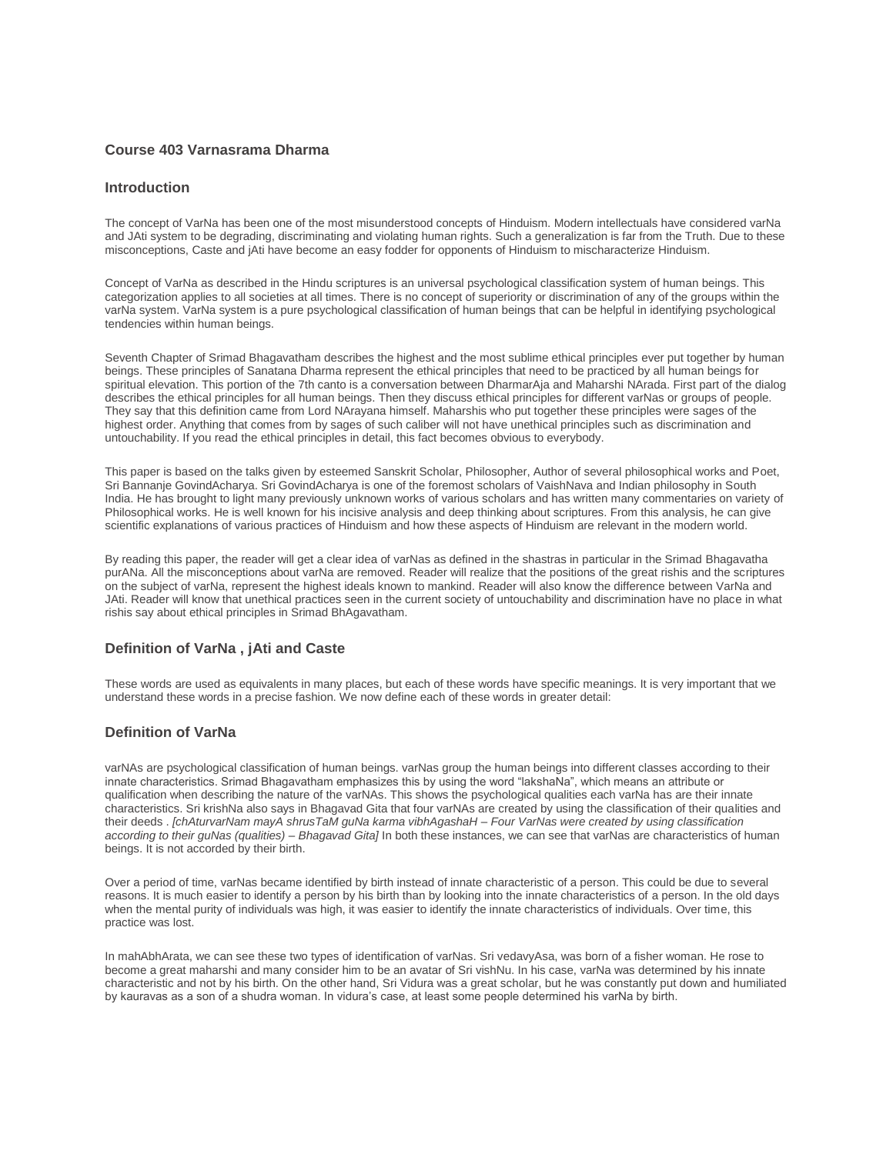#### **Course 403 Varnasrama Dharma**

#### **Introduction**

The concept of VarNa has been one of the most misunderstood concepts of Hinduism. Modern intellectuals have considered varNa and JAti system to be degrading, discriminating and violating human rights. Such a generalization is far from the Truth. Due to these misconceptions, Caste and jAti have become an easy fodder for opponents of Hinduism to mischaracterize Hinduism.

Concept of VarNa as described in the Hindu scriptures is an universal psychological classification system of human beings. This categorization applies to all societies at all times. There is no concept of superiority or discrimination of any of the groups within the varNa system. VarNa system is a pure psychological classification of human beings that can be helpful in identifying psychological tendencies within human beings.

Seventh Chapter of Srimad Bhagavatham describes the highest and the most sublime ethical principles ever put together by human beings. These principles of Sanatana Dharma represent the ethical principles that need to be practiced by all human beings for spiritual elevation. This portion of the 7th canto is a conversation between DharmarAja and Maharshi NArada. First part of the dialog describes the ethical principles for all human beings. Then they discuss ethical principles for different varNas or groups of people. They say that this definition came from Lord NArayana himself. Maharshis who put together these principles were sages of the highest order. Anything that comes from by sages of such caliber will not have unethical principles such as discrimination and untouchability. If you read the ethical principles in detail, this fact becomes obvious to everybody.

This paper is based on the talks given by esteemed Sanskrit Scholar, Philosopher, Author of several philosophical works and Poet, Sri Bannanje GovindAcharya. Sri GovindAcharya is one of the foremost scholars of VaishNava and Indian philosophy in South India. He has brought to light many previously unknown works of various scholars and has written many commentaries on variety of Philosophical works. He is well known for his incisive analysis and deep thinking about scriptures. From this analysis, he can give scientific explanations of various practices of Hinduism and how these aspects of Hinduism are relevant in the modern world.

By reading this paper, the reader will get a clear idea of varNas as defined in the shastras in particular in the Srimad Bhagavatha purANa. All the misconceptions about varNa are removed. Reader will realize that the positions of the great rishis and the scriptures on the subject of varNa, represent the highest ideals known to mankind. Reader will also know the difference between VarNa and JAti. Reader will know that unethical practices seen in the current society of untouchability and discrimination have no place in what rishis say about ethical principles in Srimad BhAgavatham.

# **Definition of VarNa , jAti and Caste**

These words are used as equivalents in many places, but each of these words have specific meanings. It is very important that we understand these words in a precise fashion. We now define each of these words in greater detail:

# **Definition of VarNa**

varNAs are psychological classification of human beings. varNas group the human beings into different classes according to their innate characteristics. Srimad Bhagavatham emphasizes this by using the word "lakshaNa", which means an attribute or qualification when describing the nature of the varNAs. This shows the psychological qualities each varNa has are their innate characteristics. Sri krishNa also says in Bhagavad Gita that four varNAs are created by using the classification of their qualities and their deeds . *[chAturvarNam mayA shrusTaM guNa karma vibhAgashaH – Four VarNas were created by using classification according to their guNas (qualities) – Bhagavad Gita]* In both these instances, we can see that varNas are characteristics of human beings. It is not accorded by their birth.

Over a period of time, varNas became identified by birth instead of innate characteristic of a person. This could be due to several reasons. It is much easier to identify a person by his birth than by looking into the innate characteristics of a person. In the old days when the mental purity of individuals was high, it was easier to identify the innate characteristics of individuals. Over time, this practice was lost.

In mahAbhArata, we can see these two types of identification of varNas. Sri vedavyAsa, was born of a fisher woman. He rose to become a great maharshi and many consider him to be an avatar of Sri vishNu. In his case, varNa was determined by his innate characteristic and not by his birth. On the other hand, Sri Vidura was a great scholar, but he was constantly put down and humiliated by kauravas as a son of a shudra woman. In vidura's case, at least some people determined his varNa by birth.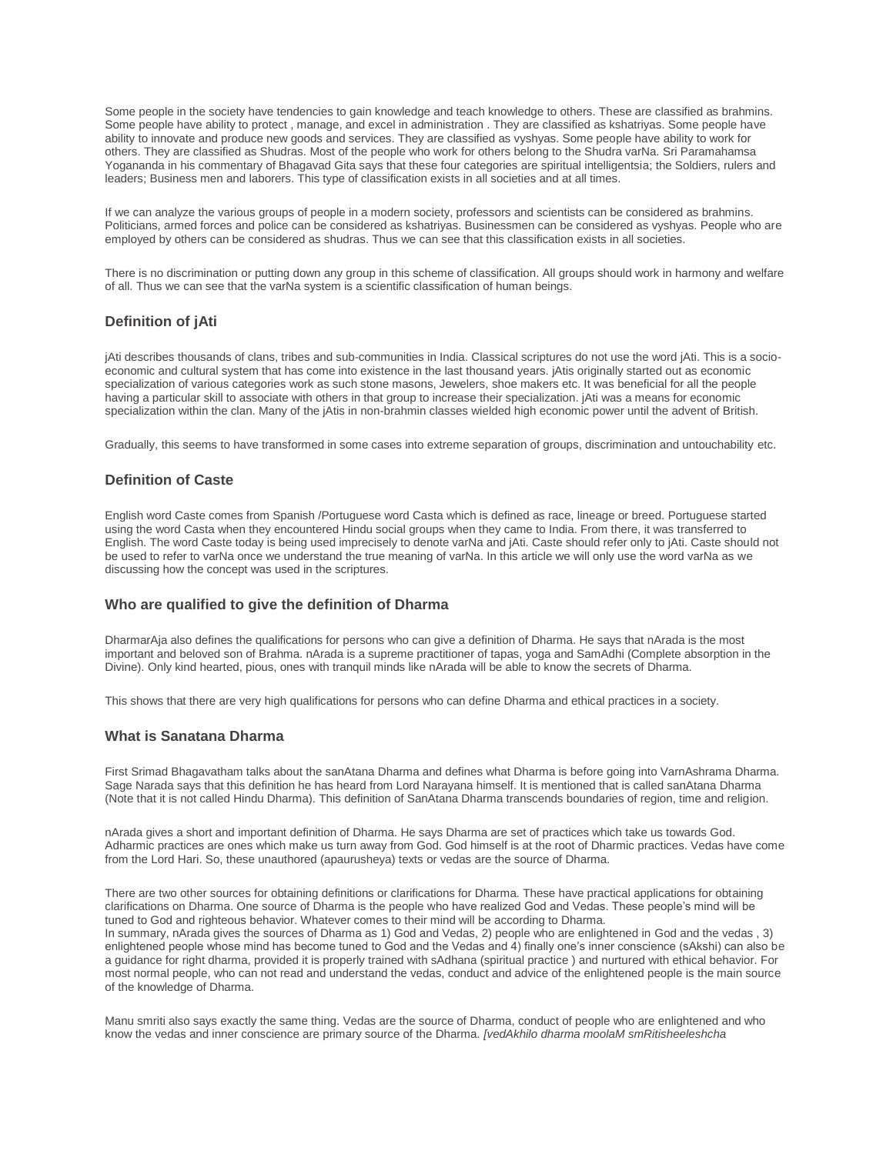Some people in the society have tendencies to gain knowledge and teach knowledge to others. These are classified as brahmins. Some people have ability to protect, manage, and excel in administration . They are classified as kshatriyas. Some people have ability to innovate and produce new goods and services. They are classified as vyshyas. Some people have ability to work for others. They are classified as Shudras. Most of the people who work for others belong to the Shudra varNa. Sri Paramahamsa Yogananda in his commentary of Bhagavad Gita says that these four categories are spiritual intelligentsia; the Soldiers, rulers and leaders; Business men and laborers. This type of classification exists in all societies and at all times.

If we can analyze the various groups of people in a modern society, professors and scientists can be considered as brahmins. Politicians, armed forces and police can be considered as kshatriyas. Businessmen can be considered as vyshyas. People who are employed by others can be considered as shudras. Thus we can see that this classification exists in all societies.

There is no discrimination or putting down any group in this scheme of classification. All groups should work in harmony and welfare of all. Thus we can see that the varNa system is a scientific classification of human beings.

# **Definition of jAti**

jAti describes thousands of clans, tribes and sub-communities in India. Classical scriptures do not use the word jAti. This is a socioeconomic and cultural system that has come into existence in the last thousand years. jAtis originally started out as economic specialization of various categories work as such stone masons, Jewelers, shoe makers etc. It was beneficial for all the people having a particular skill to associate with others in that group to increase their specialization. jAti was a means for economic specialization within the clan. Many of the jAtis in non-brahmin classes wielded high economic power until the advent of British.

Gradually, this seems to have transformed in some cases into extreme separation of groups, discrimination and untouchability etc.

#### **Definition of Caste**

English word Caste comes from Spanish /Portuguese word Casta which is defined as race, lineage or breed. Portuguese started using the word Casta when they encountered Hindu social groups when they came to India. From there, it was transferred to English. The word Caste today is being used imprecisely to denote varNa and jAti. Caste should refer only to jAti. Caste should not be used to refer to varNa once we understand the true meaning of varNa. In this article we will only use the word varNa as we discussing how the concept was used in the scriptures.

# **Who are qualified to give the definition of Dharma**

DharmarAja also defines the qualifications for persons who can give a definition of Dharma. He says that nArada is the most important and beloved son of Brahma. nArada is a supreme practitioner of tapas, yoga and SamAdhi (Complete absorption in the Divine). Only kind hearted, pious, ones with tranquil minds like nArada will be able to know the secrets of Dharma.

This shows that there are very high qualifications for persons who can define Dharma and ethical practices in a society.

#### **What is Sanatana Dharma**

First Srimad Bhagavatham talks about the sanAtana Dharma and defines what Dharma is before going into VarnAshrama Dharma. Sage Narada says that this definition he has heard from Lord Narayana himself. It is mentioned that is called sanAtana Dharma (Note that it is not called Hindu Dharma). This definition of SanAtana Dharma transcends boundaries of region, time and religion.

nArada gives a short and important definition of Dharma. He says Dharma are set of practices which take us towards God. Adharmic practices are ones which make us turn away from God. God himself is at the root of Dharmic practices. Vedas have come from the Lord Hari. So, these unauthored (apaurusheya) texts or vedas are the source of Dharma.

There are two other sources for obtaining definitions or clarifications for Dharma. These have practical applications for obtaining clarifications on Dharma. One source of Dharma is the people who have realized God and Vedas. These people's mind will be tuned to God and righteous behavior. Whatever comes to their mind will be according to Dharma.

In summary, nArada gives the sources of Dharma as 1) God and Vedas, 2) people who are enlightened in God and the vedas , 3) enlightened people whose mind has become tuned to God and the Vedas and 4) finally one's inner conscience (sAkshi) can also be a guidance for right dharma, provided it is properly trained with sAdhana (spiritual practice ) and nurtured with ethical behavior. For most normal people, who can not read and understand the vedas, conduct and advice of the enlightened people is the main source of the knowledge of Dharma.

Manu smriti also says exactly the same thing. Vedas are the source of Dharma, conduct of people who are enlightened and who know the vedas and inner conscience are primary source of the Dharma. *[vedAkhilo dharma moolaM smRitisheeleshcha*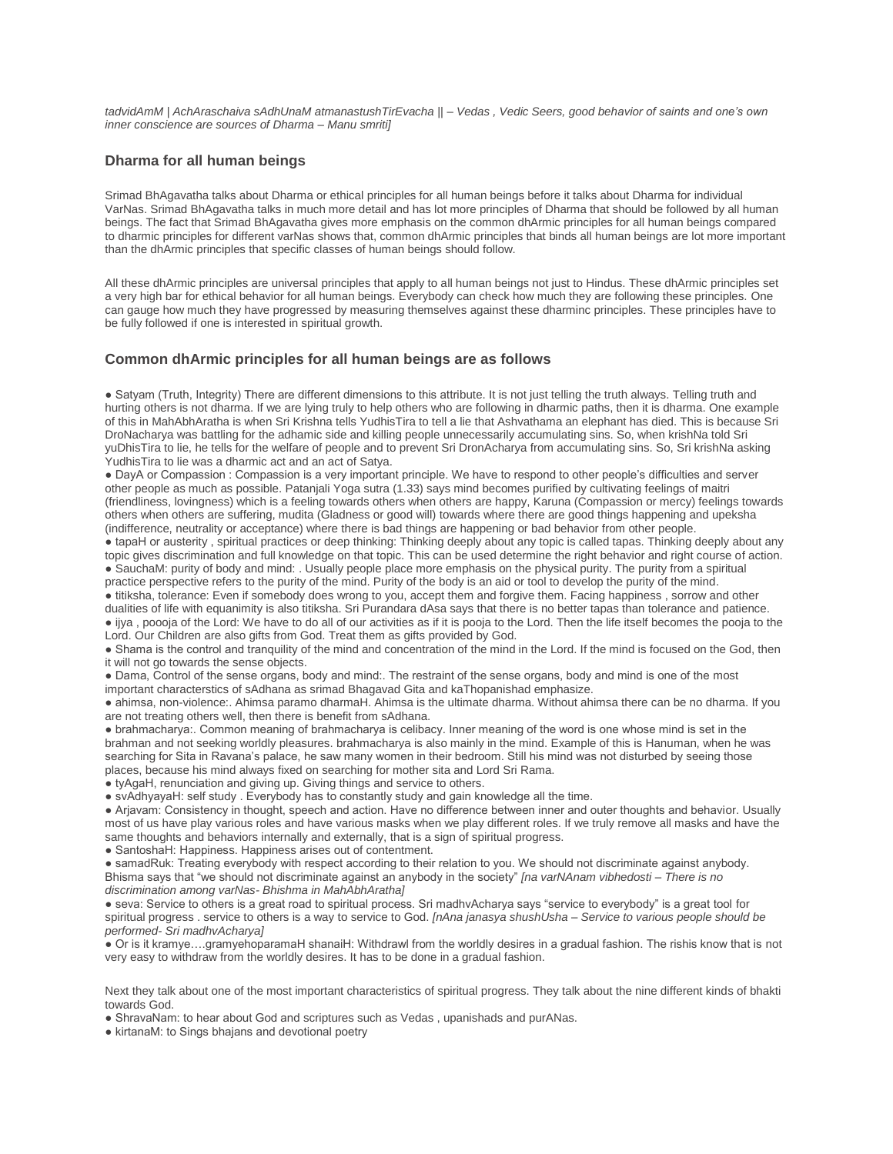*tadvidAmM | AchAraschaiva sAdhUnaM atmanastushTirEvacha || – Vedas , Vedic Seers, good behavior of saints and one's own inner conscience are sources of Dharma – Manu smriti]*

#### **Dharma for all human beings**

Srimad BhAgavatha talks about Dharma or ethical principles for all human beings before it talks about Dharma for individual VarNas. Srimad BhAgavatha talks in much more detail and has lot more principles of Dharma that should be followed by all human beings. The fact that Srimad BhAgavatha gives more emphasis on the common dhArmic principles for all human beings compared to dharmic principles for different varNas shows that, common dhArmic principles that binds all human beings are lot more important than the dhArmic principles that specific classes of human beings should follow.

All these dhArmic principles are universal principles that apply to all human beings not just to Hindus. These dhArmic principles set a very high bar for ethical behavior for all human beings. Everybody can check how much they are following these principles. One can gauge how much they have progressed by measuring themselves against these dharminc principles. These principles have to be fully followed if one is interested in spiritual growth.

#### **Common dhArmic principles for all human beings are as follows**

● Satyam (Truth, Integrity) There are different dimensions to this attribute. It is not just telling the truth always. Telling truth and hurting others is not dharma. If we are lying truly to help others who are following in dharmic paths, then it is dharma. One example of this in MahAbhAratha is when Sri Krishna tells YudhisTira to tell a lie that Ashvathama an elephant has died. This is because Sri DroNacharya was battling for the adhamic side and killing people unnecessarily accumulating sins. So, when krishNa told Sri yuDhisTira to lie, he tells for the welfare of people and to prevent Sri DronAcharya from accumulating sins. So, Sri krishNa asking YudhisTira to lie was a dharmic act and an act of Satya.

● DayA or Compassion : Compassion is a very important principle. We have to respond to other people's difficulties and server other people as much as possible. Patanjali Yoga sutra (1.33) says mind becomes purified by cultivating feelings of maitri (friendliness, lovingness) which is a feeling towards others when others are happy, Karuna (Compassion or mercy) feelings towards others when others are suffering, mudita (Gladness or good will) towards where there are good things happening and upeksha (indifference, neutrality or acceptance) where there is bad things are happening or bad behavior from other people.

● tapaH or austerity , spiritual practices or deep thinking: Thinking deeply about any topic is called tapas. Thinking deeply about any topic gives discrimination and full knowledge on that topic. This can be used determine the right behavior and right course of action. ● SauchaM: purity of body and mind: . Usually people place more emphasis on the physical purity. The purity from a spiritual practice perspective refers to the purity of the mind. Purity of the body is an aid or tool to develop the purity of the mind.

● titiksha, tolerance: Even if somebody does wrong to you, accept them and forgive them. Facing happiness , sorrow and other dualities of life with equanimity is also titiksha. Sri Purandara dAsa says that there is no better tapas than tolerance and patience. ● ijya , poooja of the Lord: We have to do all of our activities as if it is pooja to the Lord. Then the life itself becomes the pooja to the Lord. Our Children are also gifts from God. Treat them as gifts provided by God.

● Shama is the control and tranquility of the mind and concentration of the mind in the Lord. If the mind is focused on the God, then it will not go towards the sense objects.

• Dama, Control of the sense organs, body and mind:. The restraint of the sense organs, body and mind is one of the most important characterstics of sAdhana as srimad Bhagavad Gita and kaThopanishad emphasize.

● ahimsa, non-violence:. Ahimsa paramo dharmaH. Ahimsa is the ultimate dharma. Without ahimsa there can be no dharma. If you are not treating others well, then there is benefit from sAdhana.

● brahmacharya:. Common meaning of brahmacharya is celibacy. Inner meaning of the word is one whose mind is set in the brahman and not seeking worldly pleasures. brahmacharya is also mainly in the mind. Example of this is Hanuman, when he was searching for Sita in Ravana's palace, he saw many women in their bedroom. Still his mind was not disturbed by seeing those places, because his mind always fixed on searching for mother sita and Lord Sri Rama.

● tyAgaH, renunciation and giving up. Giving things and service to others.

● svAdhyayaH: self study . Everybody has to constantly study and gain knowledge all the time.

● Arjavam: Consistency in thought, speech and action. Have no difference between inner and outer thoughts and behavior. Usually most of us have play various roles and have various masks when we play different roles. If we truly remove all masks and have the same thoughts and behaviors internally and externally, that is a sign of spiritual progress.

● SantoshaH: Happiness. Happiness arises out of contentment.

● samadRuk: Treating everybody with respect according to their relation to you. We should not discriminate against anybody. Bhisma says that "we should not discriminate against an anybody in the society" *[na varNAnam vibhedosti – There is no discrimination among varNas- Bhishma in MahAbhAratha]*

● seva: Service to others is a great road to spiritual process. Sri madhvAcharya says "service to everybody" is a great tool for spiritual progress . service to others is a way to service to God. *[nAna janasya shushUsha – Service to various people should be performed- Sri madhvAcharya]*

● Or is it kramye….gramyehoparamaH shanaiH: Withdrawl from the worldly desires in a gradual fashion. The rishis know that is not very easy to withdraw from the worldly desires. It has to be done in a gradual fashion.

Next they talk about one of the most important characteristics of spiritual progress. They talk about the nine different kinds of bhakti towards God.

● ShravaNam: to hear about God and scriptures such as Vedas , upanishads and purANas.

• kirtanaM: to Sings bhajans and devotional poetry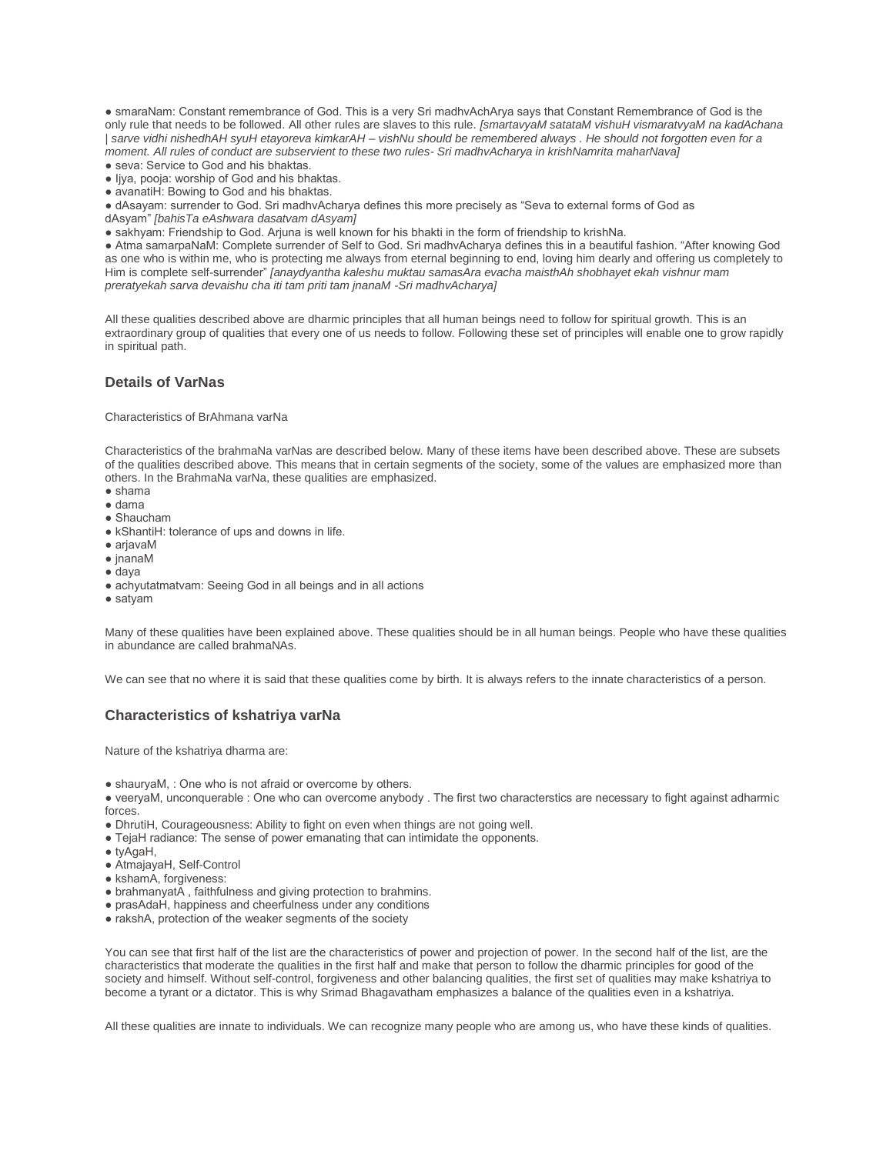● smaraNam: Constant remembrance of God. This is a very Sri madhvAchArya says that Constant Remembrance of God is the only rule that needs to be followed. All other rules are slaves to this rule. *[smartavyaM satataM vishuH vismaratvyaM na kadAchana | sarve vidhi nishedhAH syuH etayoreva kimkarAH – vishNu should be remembered always . He should not forgotten even for a moment. All rules of conduct are subservient to these two rules- Sri madhvAcharya in krishNamrita maharNava]*

- seva: Service to God and his bhaktas.
- Ijya, pooja: worship of God and his bhaktas.
- avanatiH: Bowing to God and his bhaktas.
- dAsayam: surrender to God. Sri madhvAcharya defines this more precisely as "Seva to external forms of God as
- dAsyam" *[bahisTa eAshwara dasatvam dAsyam]*
- sakhyam: Friendship to God. Arjuna is well known for his bhakti in the form of friendship to krishNa.

● Atma samarpaNaM: Complete surrender of Self to God. Sri madhvAcharya defines this in a beautiful fashion. "After knowing God as one who is within me, who is protecting me always from eternal beginning to end, loving him dearly and offering us completely to Him is complete self-surrender" *[anaydyantha kaleshu muktau samasAra evacha maisthAh shobhayet ekah vishnur mam preratyekah sarva devaishu cha iti tam priti tam jnanaM -Sri madhvAcharya]*

All these qualities described above are dharmic principles that all human beings need to follow for spiritual growth. This is an extraordinary group of qualities that every one of us needs to follow. Following these set of principles will enable one to grow rapidly in spiritual path.

#### **Details of VarNas**

Characteristics of BrAhmana varNa

Characteristics of the brahmaNa varNas are described below. Many of these items have been described above. These are subsets of the qualities described above. This means that in certain segments of the society, some of the values are emphasized more than others. In the BrahmaNa varNa, these qualities are emphasized.

- $\bullet$  shama
- dama
- Shaucham
- kShantiH: tolerance of ups and downs in life.
- arjavaM
- jnanaM
- daya
- achyutatmatvam: Seeing God in all beings and in all actions
- satyam

Many of these qualities have been explained above. These qualities should be in all human beings. People who have these qualities in abundance are called brahmaNAs.

We can see that no where it is said that these qualities come by birth. It is always refers to the innate characteristics of a person.

# **Characteristics of kshatriya varNa**

Nature of the kshatriya dharma are:

- shauryaM, : One who is not afraid or overcome by others.
- veeryaM, unconquerable : One who can overcome anybody . The first two characterstics are necessary to fight against adharmic forces.
- DhrutiH, Courageousness: Ability to fight on even when things are not going well.
- TejaH radiance: The sense of power emanating that can intimidate the opponents.
- tyAgaH,
- AtmajayaH, Self-Control
- kshamA, forgiveness:
- brahmanyatA , faithfulness and giving protection to brahmins.
- prasAdaH, happiness and cheerfulness under any conditions
- rakshA, protection of the weaker segments of the society

You can see that first half of the list are the characteristics of power and projection of power. In the second half of the list, are the characteristics that moderate the qualities in the first half and make that person to follow the dharmic principles for good of the society and himself. Without self-control, forgiveness and other balancing qualities, the first set of qualities may make kshatriya to become a tyrant or a dictator. This is why Srimad Bhagavatham emphasizes a balance of the qualities even in a kshatriya.

All these qualities are innate to individuals. We can recognize many people who are among us, who have these kinds of qualities.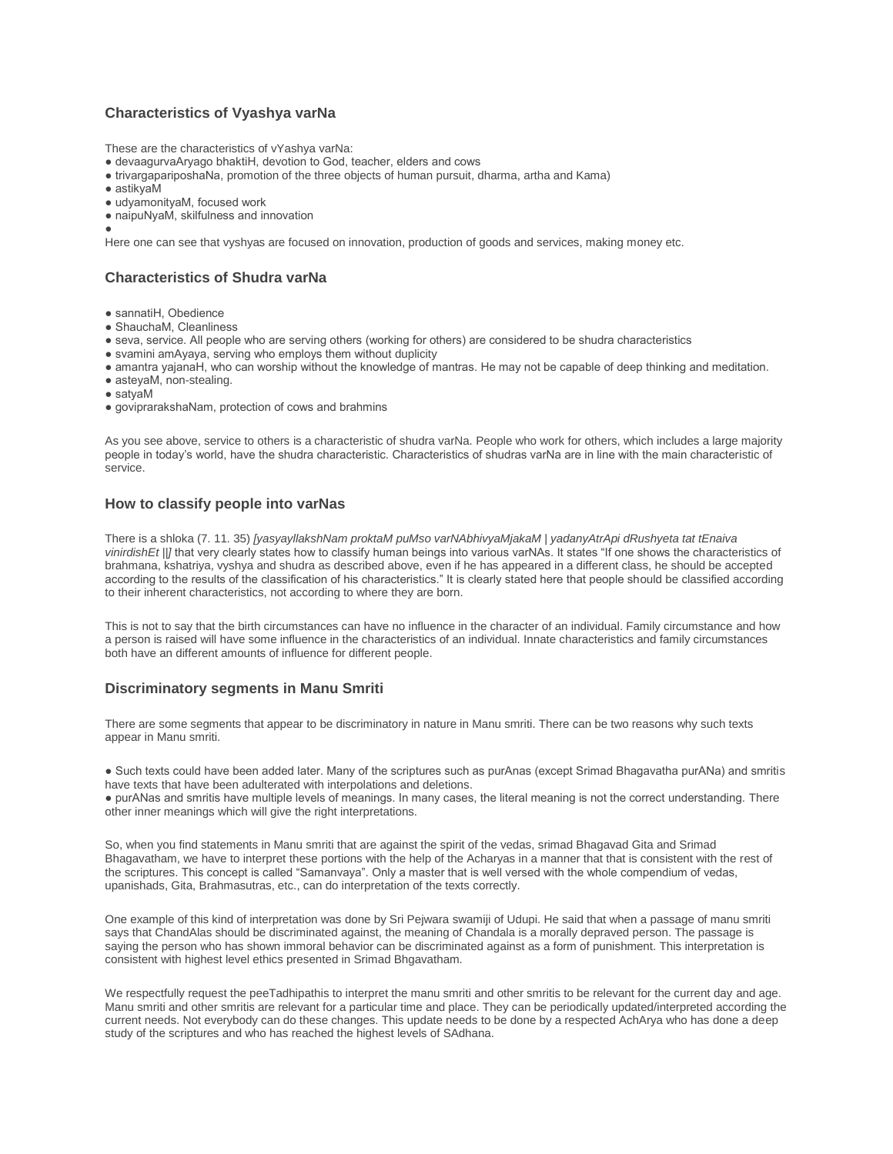# **Characteristics of Vyashya varNa**

These are the characteristics of vYashya varNa:

- devaagurvaAryago bhaktiH, devotion to God, teacher, elders and cows
- trivargapariposhaNa, promotion of the three objects of human pursuit, dharma, artha and Kama)
- $\bullet$  astikyaM
- udyamonityaM, focused work
- naipuNyaM, skilfulness and innovation
- ●

Here one can see that vyshyas are focused on innovation, production of goods and services, making money etc.

# **Characteristics of Shudra varNa**

- sannatiH, Obedience
- ShauchaM, Cleanliness
- seva, service. All people who are serving others (working for others) are considered to be shudra characteristics
- svamini amAyaya, serving who employs them without duplicity
- amantra yajanaH, who can worship without the knowledge of mantras. He may not be capable of deep thinking and meditation.
- asteyaM, non-stealing.
- satyaM
- goviprarakshaNam, protection of cows and brahmins

As you see above, service to others is a characteristic of shudra varNa. People who work for others, which includes a large majority people in today's world, have the shudra characteristic. Characteristics of shudras varNa are in line with the main characteristic of service.

# **How to classify people into varNas**

There is a shloka (7. 11. 35) *[yasyayllakshNam proktaM puMso varNAbhivyaMjakaM | yadanyAtrApi dRushyeta tat tEnaiva vinirdishEt ||]* that very clearly states how to classify human beings into various varNAs. It states "If one shows the characteristics of brahmana, kshatriya, vyshya and shudra as described above, even if he has appeared in a different class, he should be accepted according to the results of the classification of his characteristics." It is clearly stated here that people should be classified according to their inherent characteristics, not according to where they are born.

This is not to say that the birth circumstances can have no influence in the character of an individual. Family circumstance and how a person is raised will have some influence in the characteristics of an individual. Innate characteristics and family circumstances both have an different amounts of influence for different people.

# **Discriminatory segments in Manu Smriti**

There are some segments that appear to be discriminatory in nature in Manu smriti. There can be two reasons why such texts appear in Manu smriti.

● Such texts could have been added later. Many of the scriptures such as purAnas (except Srimad Bhagavatha purANa) and smritis have texts that have been adulterated with interpolations and deletions.

● purANas and smritis have multiple levels of meanings. In many cases, the literal meaning is not the correct understanding. There other inner meanings which will give the right interpretations.

So, when you find statements in Manu smriti that are against the spirit of the vedas, srimad Bhagavad Gita and Srimad Bhagavatham, we have to interpret these portions with the help of the Acharyas in a manner that that is consistent with the rest of the scriptures. This concept is called "Samanvaya". Only a master that is well versed with the whole compendium of vedas, upanishads, Gita, Brahmasutras, etc., can do interpretation of the texts correctly.

One example of this kind of interpretation was done by Sri Pejwara swamiji of Udupi. He said that when a passage of manu smriti says that ChandAlas should be discriminated against, the meaning of Chandala is a morally depraved person. The passage is saying the person who has shown immoral behavior can be discriminated against as a form of punishment. This interpretation is consistent with highest level ethics presented in Srimad Bhgavatham.

We respectfully request the peeTadhipathis to interpret the manu smriti and other smritis to be relevant for the current day and age. Manu smriti and other smritis are relevant for a particular time and place. They can be periodically updated/interpreted according the current needs. Not everybody can do these changes. This update needs to be done by a respected AchArya who has done a deep study of the scriptures and who has reached the highest levels of SAdhana.